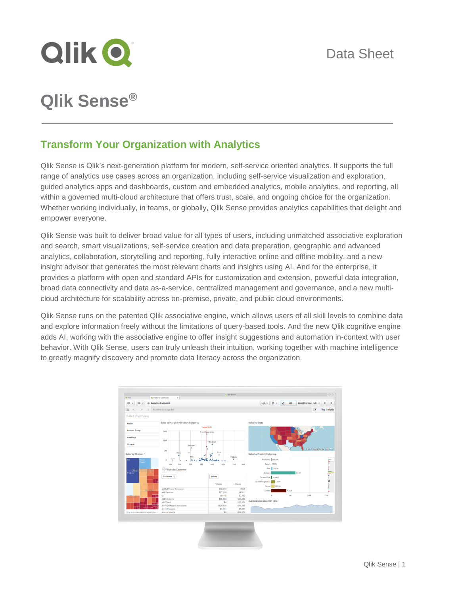

# **Qlik Sense®**

# **Transform Your Organization with Analytics**

Qlik Sense is Qlik's next-generation platform for modern, self-service oriented analytics. It supports the full range of analytics use cases across an organization, including self-service visualization and exploration, guided analytics apps and dashboards, custom and embedded analytics, mobile analytics, and reporting, all within a governed multi-cloud architecture that offers trust, scale, and ongoing choice for the organization. Whether working individually, in teams, or globally, Qlik Sense provides analytics capabilities that delight and empower everyone.

Qlik Sense was built to deliver broad value for all types of users, including unmatched associative exploration and search, smart visualizations, self-service creation and data preparation, geographic and advanced analytics, collaboration, storytelling and reporting, fully interactive online and offline mobility, and a new insight advisor that generates the most relevant charts and insights using AI. And for the enterprise, it provides a platform with open and standard APIs for customization and extension, powerful data integration, broad data connectivity and data as-a-service, centralized management and governance, and a new multicloud architecture for scalability across on-premise, private, and public cloud environments.

Qlik Sense runs on the patented Qlik associative engine, which allows users of all skill levels to combine data and explore information freely without the limitations of query-based tools. And the new Qlik cognitive engine adds AI, working with the associative engine to offer insight suggestions and automation in-context with user behavior. With Qlik Sense, users can truly unleash their intuition, working together with machine intelligence to greatly magnify discovery and promote data literacy across the organization.

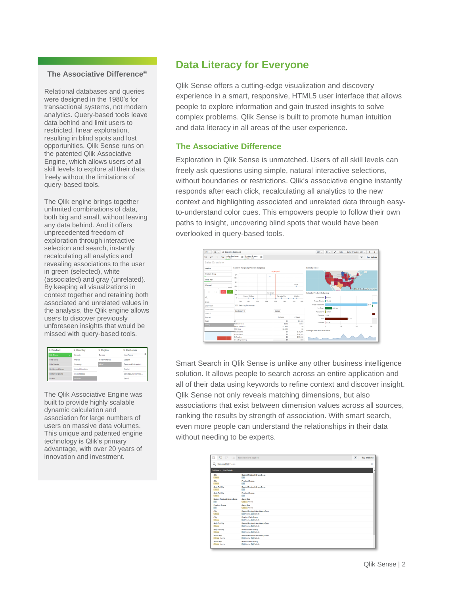#### **The Associative Difference®**

Relational databases and queries were designed in the 1980's for transactional systems, not modern analytics. Query-based tools leave data behind and limit users to restricted, linear exploration, resulting in blind spots and lost opportunities. Qlik Sense runs on the patented Qlik Associative Engine, which allows users of all skill levels to explore all their data freely without the limitations of query-based tools.

The Qlik engine brings together unlimited combinations of data, both big and small, without leaving any data behind. And it offers unprecedented freedom of exploration through interactive selection and search, instantly recalculating all analytics and revealing associations to the user in green (selected), white (associated) and gray (unrelated). By keeping all visualizations in context together and retaining both associated and unrelated values in the analysis, the Qlik engine allows users to discover previously unforeseen insights that would be missed with query-based tools.

| Q Product          | Q. Country     | Q Region      | Q. Customer           |
|--------------------|----------------|---------------|-----------------------|
| <b>Bib-Shorts</b>  | Canada         | Europe        | ٠<br>YourFuture       |
| <b>Bike Racks</b>  | France         | North America | ySecret               |
| <b>Bike Stands</b> | Germany        | <b>APAC</b>   | Zentrum für Interakti |
| Bottles and Cages  | United Kingdom |               | Zephur                |
| Bottom Brackets    | United States  |               | Zero Assumption Rec   |
| Realised           | Australia      |               | Zero G                |

The Qlik Associative Engine was built to provide highly scalable dynamic calculation and association for large numbers of users on massive data volumes. This unique and patented engine technology is Qlik's primary advantage, with over 20 years of innovation and investment.

# **Data Literacy for Everyone**

Qlik Sense offers a cutting-edge visualization and discovery experience in a smart, responsive, HTML5 user interface that allows people to explore information and gain trusted insights to solve complex problems. Qlik Sense is built to promote human intuition and data literacy in all areas of the user experience.

#### **The Associative Difference**

Exploration in Qlik Sense is unmatched. Users of all skill levels can freely ask questions using simple, natural interactive selections, without boundaries or restrictions. Qlik's associative engine instantly responds after each click, recalculating all analytics to the new context and highlighting associated and unrelated data through easyto-understand color cues. This empowers people to follow their own paths to insight, uncovering blind spots that would have been overlooked in query-based tools.



Smart Search in Qlik Sense is unlike any other business intelligence solution. It allows people to search across an entire application and all of their data using keywords to refine context and discover insight. Qlik Sense not only reveals matching dimensions, but also associations that exist between dimension values across all sources, ranking the results by strength of association. With smart search, even more people can understand the relationships in their data without needing to be experts.

| 43 Ge Co No selections applied<br>Εä     |                                                                 | 諜 | Ita Insights |
|------------------------------------------|-----------------------------------------------------------------|---|--------------|
| Q<br>Odessa Deli Meats                   |                                                                 |   | $\times$     |
| Deli Salads<br><b>Deli Meats</b>         |                                                                 |   | I۸           |
| City<br>Odessa                           | <b>Basket Product Group Desc</b><br>Deli                        |   |              |
| City<br>Odessa                           | <b>Product Group</b><br>Deli                                    |   |              |
| Ship To City<br>Odessa                   | <b>Basket Product Group Desc</b><br>Deli                        |   |              |
| Ship To City<br>Odesso                   | <b>Product Group</b><br>Delt                                    |   |              |
| <b>Basket Product Group Desc</b><br>Deli | <b>Sales Rep</b><br>Cideosa Morris                              |   |              |
| <b>Product Group</b><br>Deli             | Sales Rep.<br>Odessa Morris                                     |   |              |
| City<br>Odessa                           | <b>Basket Product Sub Group Desc</b><br>Deli Meats, Deli Salada |   |              |
| City<br>Odesso                           | <b>Product Sub Group</b><br>Dell Meats, Dell Salads             |   |              |
| <b>Ship To City</b><br>Odessa            | <b>Basket Product Sub Group Desc</b><br>Dell Meate, Dell Salada |   |              |
| <b>Ship To City</b><br>Odesso            | <b>Product Sub Group</b><br>Dell Meats, Dell Salads             |   |              |
| <b>Sales Rep</b><br>Odessa Morris        | <b>Basket Product Sub Group Desc</b><br>Dell Meats, Dell Salads |   |              |
| Sales Rep<br>Odessa Morria               | <b>Product Sub Group</b><br>Deli Meats, Deli Salada             |   |              |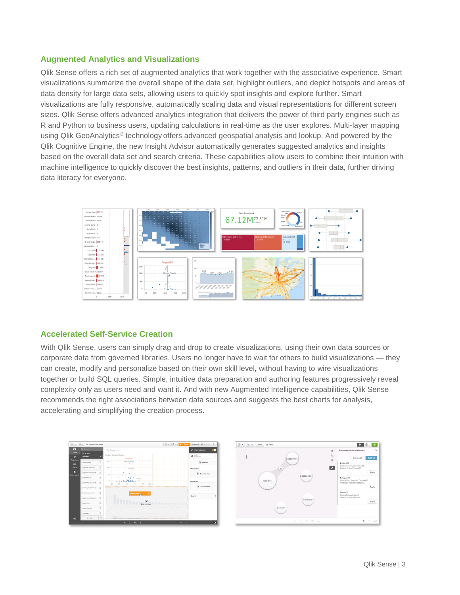## **Augmented Analytics and Visualizations**

Qlik Sense offers a rich set of augmented analytics that work together with the associative experience. Smart visualizations summarize the overall shape of the data set, highlight outliers, and depict hotspots and areas of data density for large data sets, allowing users to quickly spot insights and explore further. Smart visualizations are fully responsive, automatically scaling data and visual representations for different screen sizes. Qlik Sense offers advanced analytics integration that delivers the power of third party engines such as R and Python to business users, updating calculations in real-time as the user explores. Multi-layer mapping using Qlik GeoAnalytics® technology offers advanced geospatial analysis and lookup. And powered by the Qlik Cognitive Engine, the new Insight Advisor automatically generates suggested analytics and insights based on the overall data set and search criteria. These capabilities allow users to combine their intuition with machine intelligence to quickly discover the best insights, patterns, and outliers in their data, further driving data literacy for everyone.



#### **Accelerated Self-Service Creation**

With Qlik Sense, users can simply drag and drop to create visualizations, using their own data sources or corporate data from governed libraries. Users no longer have to wait for others to build visualizations — they can create, modify and personalize based on their own skill level, without having to wire visualizations together or build SQL queries. Simple, intuitive data preparation and authoring features progressively reveal complexity only as users need and want it. And with new Augmented Intelligence capabilities, Qlik Sense recommends the right associations between data sources and suggests the best charts for analysis, accelerating and simplifying the creation process.



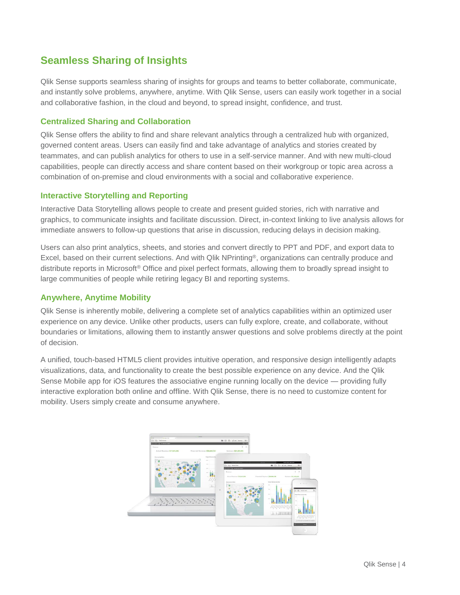# **Seamless Sharing of Insights**

Qlik Sense supports seamless sharing of insights for groups and teams to better collaborate, communicate, and instantly solve problems, anywhere, anytime. With Qlik Sense, users can easily work together in a social and collaborative fashion, in the cloud and beyond, to spread insight, confidence, and trust.

## **Centralized Sharing and Collaboration**

Qlik Sense offers the ability to find and share relevant analytics through a centralized hub with organized, governed content areas. Users can easily find and take advantage of analytics and stories created by teammates, and can publish analytics for others to use in a self-service manner. And with new multi-cloud capabilities, people can directly access and share content based on their workgroup or topic area across a combination of on-premise and cloud environments with a social and collaborative experience.

## **Interactive Storytelling and Reporting**

Interactive Data Storytelling allows people to create and present guided stories, rich with narrative and graphics, to communicate insights and facilitate discussion. Direct, in-context linking to live analysis allows for immediate answers to follow-up questions that arise in discussion, reducing delays in decision making.

Users can also print analytics, sheets, and stories and convert directly to PPT and PDF, and export data to Excel, based on their current selections. And with Qlik NPrinting®, organizations can centrally produce and distribute reports in Microsoft® Office and pixel perfect formats, allowing them to broadly spread insight to large communities of people while retiring legacy BI and reporting systems.

## **Anywhere, Anytime Mobility**

Qlik Sense is inherently mobile, delivering a complete set of analytics capabilities within an optimized user experience on any device. Unlike other products, users can fully explore, create, and collaborate, without boundaries or limitations, allowing them to instantly answer questions and solve problems directly at the point of decision.

A unified, touch-based HTML5 client provides intuitive operation, and responsive design intelligently adapts visualizations, data, and functionality to create the best possible experience on any device. And the Qlik Sense Mobile app for iOS features the associative engine running locally on the device — providing fully interactive exploration both online and offline. With Qlik Sense, there is no need to customize content for mobility. Users simply create and consume anywhere.

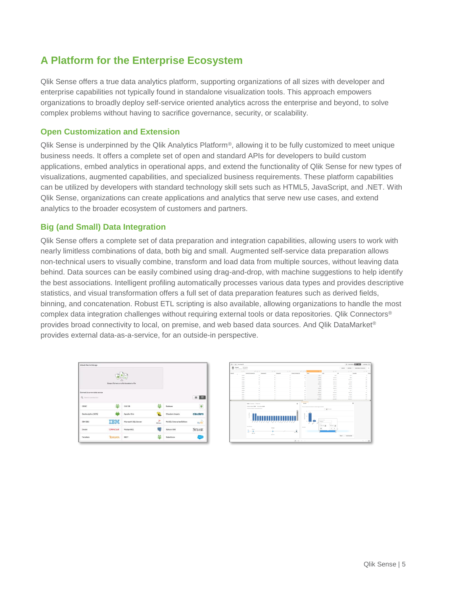# **A Platform for the Enterprise Ecosystem**

Qlik Sense offers a true data analytics platform, supporting organizations of all sizes with developer and enterprise capabilities not typically found in standalone visualization tools. This approach empowers organizations to broadly deploy self-service oriented analytics across the enterprise and beyond, to solve complex problems without having to sacrifice governance, security, or scalability.

## **Open Customization and Extension**

Qlik Sense is underpinned by the Qlik Analytics Platform®, allowing it to be fully customized to meet unique business needs. It offers a complete set of open and standard APIs for developers to build custom applications, embed analytics in operational apps, and extend the functionality of Qlik Sense for new types of visualizations, augmented capabilities, and specialized business requirements. These platform capabilities can be utilized by developers with standard technology skill sets such as HTML5, JavaScript, and .NET. With Qlik Sense, organizations can create applications and analytics that serve new use cases, and extend analytics to the broader ecosystem of customers and partners.

#### **Big (and Small) Data Integration**

Qlik Sense offers a complete set of data preparation and integration capabilities, allowing users to work with nearly limitless combinations of data, both big and small. Augmented self-service data preparation allows non-technical users to visually combine, transform and load data from multiple sources, without leaving data behind. Data sources can be easily combined using drag-and-drop, with machine suggestions to help identify the best associations. Intelligent profiling automatically processes various data types and provides descriptive statistics, and visual transformation offers a full set of data preparation features such as derived fields, binning, and concatenation. Robust ETL scripting is also available, allowing organizations to handle the most complex data integration challenges without requiring external tools or data repositories. Qlik Connectors® provides broad connectivity to local, on premise, and web based data sources. And Qlik DataMarket® provides external data-as-a-service, for an outside-in perspective.



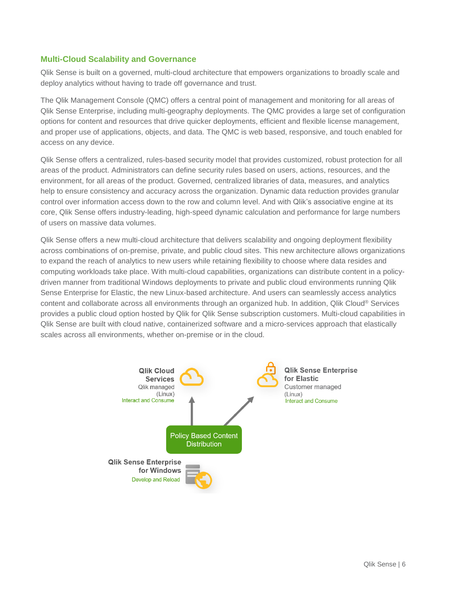#### **Multi-Cloud Scalability and Governance**

Qlik Sense is built on a governed, multi-cloud architecture that empowers organizations to broadly scale and deploy analytics without having to trade off governance and trust.

The Qlik Management Console (QMC) offers a central point of management and monitoring for all areas of Qlik Sense Enterprise, including multi-geography deployments. The QMC provides a large set of configuration options for content and resources that drive quicker deployments, efficient and flexible license management, and proper use of applications, objects, and data. The QMC is web based, responsive, and touch enabled for access on any device.

Qlik Sense offers a centralized, rules-based security model that provides customized, robust protection for all areas of the product. Administrators can define security rules based on users, actions, resources, and the environment, for all areas of the product. Governed, centralized libraries of data, measures, and analytics help to ensure consistency and accuracy across the organization. Dynamic data reduction provides granular control over information access down to the row and column level. And with Qlik's associative engine at its core, Qlik Sense offers industry-leading, high-speed dynamic calculation and performance for large numbers of users on massive data volumes.

Qlik Sense offers a new multi-cloud architecture that delivers scalability and ongoing deployment flexibility across combinations of on-premise, private, and public cloud sites. This new architecture allows organizations to expand the reach of analytics to new users while retaining flexibility to choose where data resides and computing workloads take place. With multi-cloud capabilities, organizations can distribute content in a policydriven manner from traditional Windows deployments to private and public cloud environments running Qlik Sense Enterprise for Elastic, the new Linux-based architecture. And users can seamlessly access analytics content and collaborate across all environments through an organized hub. In addition, Qlik Cloud® Services provides a public cloud option hosted by Qlik for Qlik Sense subscription customers. Multi-cloud capabilities in Qlik Sense are built with cloud native, containerized software and a micro-services approach that elastically scales across all environments, whether on-premise or in the cloud.